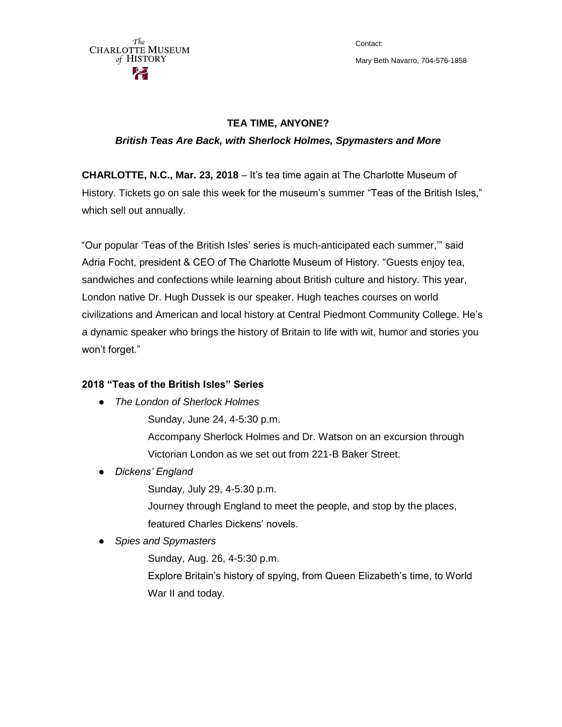The **CHARLOTTE MUSEUM** of HISTORY

Contact: Mary Beth Navarro, 704-576-1858

## **TEA TIME, ANYONE?**

### *British Teas Are Back, with Sherlock Holmes, Spymasters and More*

**CHARLOTTE, N.C., Mar. 23, 2018** – It's tea time again at The Charlotte Museum of History. Tickets go on sale this week for the museum's summer "Teas of the British Isles," which sell out annually.

"Our popular 'Teas of the British Isles' series is much-anticipated each summer,'" said Adria Focht, president & CEO of The Charlotte Museum of History. "Guests enjoy tea, sandwiches and confections while learning about British culture and history. This year, London native Dr. Hugh Dussek is our speaker. Hugh teaches courses on world civilizations and American and local history at Central Piedmont Community College. He's a dynamic speaker who brings the history of Britain to life with wit, humor and stories you won't forget."

# **2018 "Teas of the British Isles" Series**

- *The London of Sherlock Holmes*
	- Sunday, June 24, 4-5:30 p.m.

Accompany Sherlock Holmes and Dr. Watson on an excursion through Victorian London as we set out from 221-B Baker Street.

- *Dickens' England*
	- Sunday, July 29, 4-5:30 p.m.
	- Journey through England to meet the people, and stop by the places, featured Charles Dickens' novels.
- *Spies and Spymasters*
	- Sunday, Aug. 26, 4-5:30 p.m.
	- Explore Britain's history of spying, from Queen Elizabeth's time, to World War II and today.